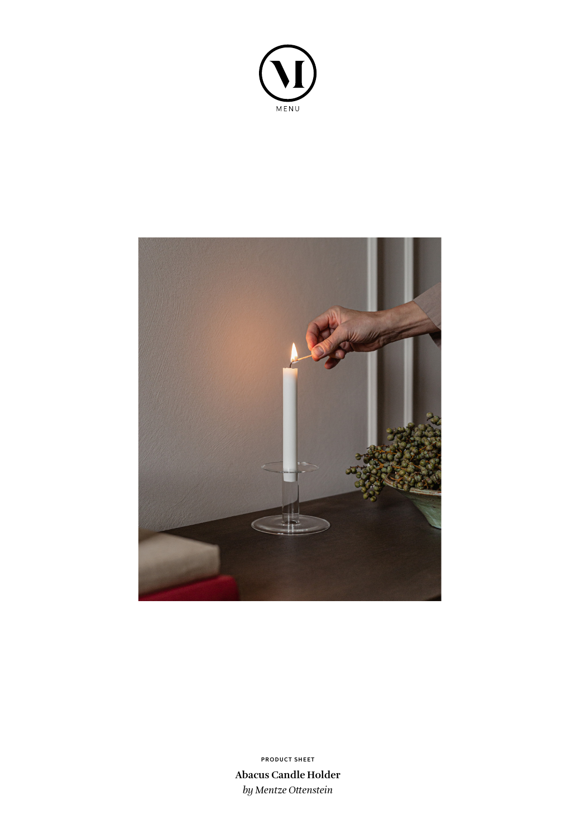



**Abacus Candle Holder** *by Mentze Ottenstein* **PRODUCT SHEET**